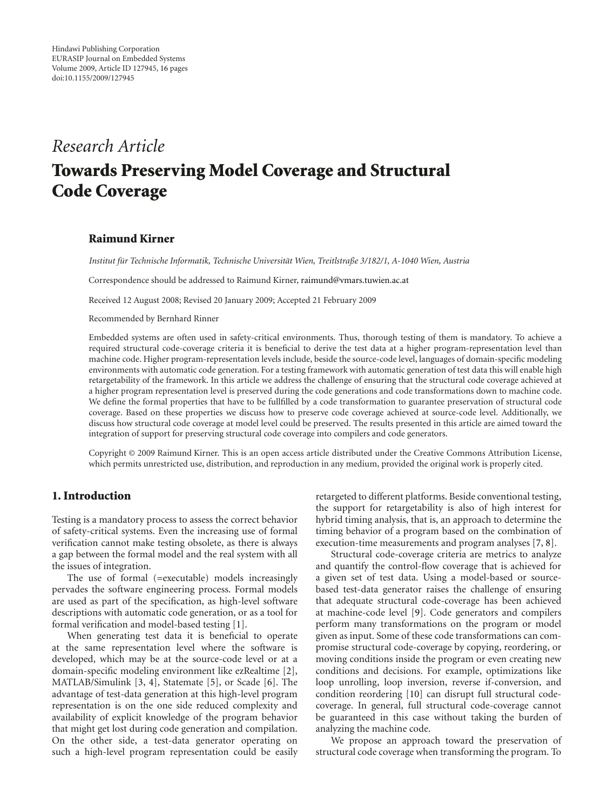# *Research Article*

# **Towards Preserving Model Coverage and Structural Code Coverage**

## **Raimund Kirner**

*Institut fur Technische Informatik, Technische Universit ¨ at Wien, Treitlstraße 3/182/1, A-1040 Wien, Austria ¨*

Correspondence should be addressed to Raimund Kirner, raimund@vmars.tuwien.ac.at

Received 12 August 2008; Revised 20 January 2009; Accepted 21 February 2009

Recommended by Bernhard Rinner

Embedded systems are often used in safety-critical environments. Thus, thorough testing of them is mandatory. To achieve a required structural code-coverage criteria it is beneficial to derive the test data at a higher program-representation level than machine code. Higher program-representation levels include, beside the source-code level, languages of domain-specific modeling environments with automatic code generation. For a testing framework with automatic generation of test data this will enable high retargetability of the framework. In this article we address the challenge of ensuring that the structural code coverage achieved at a higher program representation level is preserved during the code generations and code transformations down to machine code. We define the formal properties that have to be fullfilled by a code transformation to guarantee preservation of structural code coverage. Based on these properties we discuss how to preserve code coverage achieved at source-code level. Additionally, we discuss how structural code coverage at model level could be preserved. The results presented in this article are aimed toward the integration of support for preserving structural code coverage into compilers and code generators.

Copyright © 2009 Raimund Kirner. This is an open access article distributed under the Creative Commons Attribution License, which permits unrestricted use, distribution, and reproduction in any medium, provided the original work is properly cited.

## **1. Introduction**

Testing is a mandatory process to assess the correct behavior of safety-critical systems. Even the increasing use of formal verification cannot make testing obsolete, as there is always a gap between the formal model and the real system with all the issues of integration.

The use of formal (=executable) models increasingly pervades the software engineering process. Formal models are used as part of the specification, as high-level software descriptions with automatic code generation, or as a tool for formal verification and model-based testing [1].

When generating test data it is beneficial to operate at the same representation level where the software is developed, which may be at the source-code level or at a domain-specific modeling environment like ezRealtime [2], MATLAB/Simulink [3, 4], Statemate [5], or Scade [6]. The advantage of test-data generation at this high-level program representation is on the one side reduced complexity and availability of explicit knowledge of the program behavior that might get lost during code generation and compilation. On the other side, a test-data generator operating on such a high-level program representation could be easily

retargeted to different platforms. Beside conventional testing, the support for retargetability is also of high interest for hybrid timing analysis, that is, an approach to determine the timing behavior of a program based on the combination of execution-time measurements and program analyses [7, 8].

Structural code-coverage criteria are metrics to analyze and quantify the control-flow coverage that is achieved for a given set of test data. Using a model-based or sourcebased test-data generator raises the challenge of ensuring that adequate structural code-coverage has been achieved at machine-code level [9]. Code generators and compilers perform many transformations on the program or model given as input. Some of these code transformations can compromise structural code-coverage by copying, reordering, or moving conditions inside the program or even creating new conditions and decisions. For example, optimizations like loop unrolling, loop inversion, reverse if-conversion, and condition reordering [10] can disrupt full structural codecoverage. In general, full structural code-coverage cannot be guaranteed in this case without taking the burden of analyzing the machine code.

We propose an approach toward the preservation of structural code coverage when transforming the program. To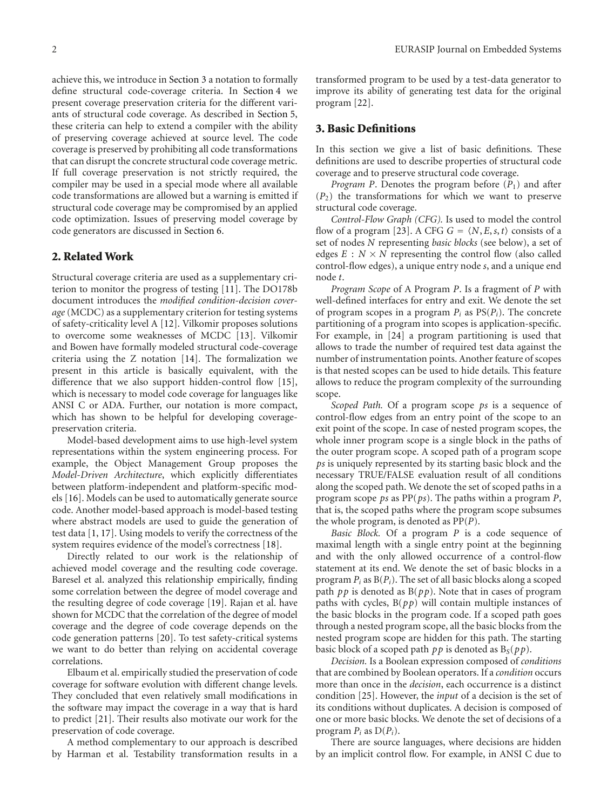achieve this, we introduce in Section 3 a notation to formally define structural code-coverage criteria. In Section 4 we present coverage preservation criteria for the different variants of structural code coverage. As described in Section 5, these criteria can help to extend a compiler with the ability of preserving coverage achieved at source level. The code coverage is preserved by prohibiting all code transformations that can disrupt the concrete structural code coverage metric. If full coverage preservation is not strictly required, the compiler may be used in a special mode where all available code transformations are allowed but a warning is emitted if structural code coverage may be compromised by an applied code optimization. Issues of preserving model coverage by code generators are discussed in Section 6.

#### **2. Related Work**

Structural coverage criteria are used as a supplementary criterion to monitor the progress of testing [11]. The DO178b document introduces the *modified condition-decision coverage* (MCDC) as a supplementary criterion for testing systems of safety-criticality level A [12]. Vilkomir proposes solutions to overcome some weaknesses of MCDC [13]. Vilkomir and Bowen have formally modeled structural code-coverage criteria using the Z notation [14]. The formalization we present in this article is basically equivalent, with the difference that we also support hidden-control flow [15], which is necessary to model code coverage for languages like ANSI C or ADA. Further, our notation is more compact, which has shown to be helpful for developing coveragepreservation criteria.

Model-based development aims to use high-level system representations within the system engineering process. For example, the Object Management Group proposes the *Model-Driven Architecture*, which explicitly differentiates between platform-independent and platform-specific models [16]. Models can be used to automatically generate source code. Another model-based approach is model-based testing where abstract models are used to guide the generation of test data [1, 17]. Using models to verify the correctness of the system requires evidence of the model's correctness [18].

Directly related to our work is the relationship of achieved model coverage and the resulting code coverage. Baresel et al. analyzed this relationship empirically, finding some correlation between the degree of model coverage and the resulting degree of code coverage [19]. Rajan et al. have shown for MCDC that the correlation of the degree of model coverage and the degree of code coverage depends on the code generation patterns [20]. To test safety-critical systems we want to do better than relying on accidental coverage correlations.

Elbaum et al. empirically studied the preservation of code coverage for software evolution with different change levels. They concluded that even relatively small modifications in the software may impact the coverage in a way that is hard to predict [21]. Their results also motivate our work for the preservation of code coverage.

A method complementary to our approach is described by Harman et al. Testability transformation results in a transformed program to be used by a test-data generator to improve its ability of generating test data for the original program [22].

#### **3. Basic Definitions**

In this section we give a list of basic definitions. These definitions are used to describe properties of structural code coverage and to preserve structural code coverage.

*Program P*. Denotes the program before  $(P_1)$  and after (*P*2) the transformations for which we want to preserve structural code coverage.

*Control-Flow Graph (CFG).* Is used to model the control flow of a program [23]. A CFG  $G = \langle N, E, s, t \rangle$  consists of a set of nodes *N* representing *basic blocks* (see below), a set of edges  $E : N \times N$  representing the control flow (also called control-flow edges), a unique entry node *s*, and a unique end node *t*.

*Program Scope* of A Program *P*. Is a fragment of *P* with well-defined interfaces for entry and exit. We denote the set of program scopes in a program *Pi* as PS(*Pi*). The concrete partitioning of a program into scopes is application-specific. For example, in [24] a program partitioning is used that allows to trade the number of required test data against the number of instrumentation points. Another feature of scopes is that nested scopes can be used to hide details. This feature allows to reduce the program complexity of the surrounding scope.

*Scoped Path.* Of a program scope *ps* is a sequence of control-flow edges from an entry point of the scope to an exit point of the scope. In case of nested program scopes, the whole inner program scope is a single block in the paths of the outer program scope. A scoped path of a program scope *ps* is uniquely represented by its starting basic block and the necessary TRUE/FALSE evaluation result of all conditions along the scoped path. We denote the set of scoped paths in a program scope *ps* as PP(*ps*). The paths within a program *P*, that is, the scoped paths where the program scope subsumes the whole program, is denoted as PP(*P*).

*Basic Block.* Of a program *P* is a code sequence of maximal length with a single entry point at the beginning and with the only allowed occurrence of a control-flow statement at its end. We denote the set of basic blocks in a program *Pi* as B(*Pi*). The set of all basic blocks along a scoped path *pp* is denoted as B(*pp*). Note that in cases of program paths with cycles,  $B(p p)$  will contain multiple instances of the basic blocks in the program code. If a scoped path goes through a nested program scope, all the basic blocks from the nested program scope are hidden for this path. The starting basic block of a scoped path *pp* is denoted as B*S*(*pp*).

*Decision.* Is a Boolean expression composed of *conditions* that are combined by Boolean operators. If a *condition* occurs more than once in the *decision*, each occurrence is a distinct condition [25]. However, the *input* of a decision is the set of its conditions without duplicates. A decision is composed of one or more basic blocks. We denote the set of decisions of a program *Pi* as D(*Pi*).

There are source languages, where decisions are hidden by an implicit control flow. For example, in ANSI C due to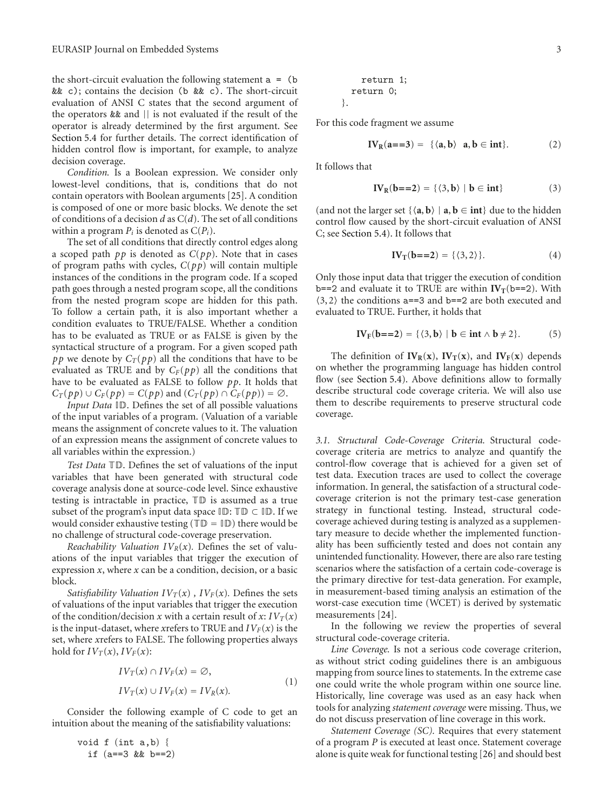the short-circuit evaluation the following statement  $a = (b$ &  $c$ ); contains the decision (b &  $c$ ). The short-circuit evaluation of ANSI C states that the second argument of the operators && and || is not evaluated if the result of the operator is already determined by the first argument. See Section 5.4 for further details. The correct identification of hidden control flow is important, for example, to analyze decision coverage.

*Condition.* Is a Boolean expression. We consider only lowest-level conditions, that is, conditions that do not contain operators with Boolean arguments [25]. A condition is composed of one or more basic blocks. We denote the set of conditions of a decision *d* as C(*d*). The set of all conditions within a program  $P_i$  is denoted as  $C(P_i)$ .

The set of all conditions that directly control edges along a scoped path *pp* is denoted as *C*(*pp*). Note that in cases of program paths with cycles, *C*(*pp*) will contain multiple instances of the conditions in the program code. If a scoped path goes through a nested program scope, all the conditions from the nested program scope are hidden for this path. To follow a certain path, it is also important whether a condition evaluates to TRUE/FALSE. Whether a condition has to be evaluated as TRUE or as FALSE is given by the syntactical structure of a program. For a given scoped path *pp* we denote by  $C_T(pp)$  all the conditions that have to be evaluated as TRUE and by  $C_F(pp)$  all the conditions that have to be evaluated as FALSE to follow *pp*. It holds that  $C_T(pp) \cup C_F(pp) = C(pp)$  and  $(C_T(pp) \cap C_F(pp)) = \emptyset$ .

*Input Data* ID. Defines the set of all possible valuations of the input variables of a program. (Valuation of a variable means the assignment of concrete values to it. The valuation of an expression means the assignment of concrete values to all variables within the expression.)

*Test Data* TD. Defines the set of valuations of the input variables that have been generated with structural code coverage analysis done at source-code level. Since exhaustive testing is intractable in practice, TD is assumed as a true subset of the program's input data space  $\mathbb{ID}$ :  $\mathbb{TD} \subset \mathbb{ID}$ . If we would consider exhaustive testing ( $\mathbb{TD} = \mathbb{ID}$ ) there would be no challenge of structural code-coverage preservation.

*Reachability Valuation*  $IV_R(x)$ *. Defines the set of valu*ations of the input variables that trigger the execution of expression *x*, where *x* can be a condition, decision, or a basic block.

*Satisfiability Valuation*  $IV_T(x)$ ,  $IV_F(x)$ . Defines the sets of valuations of the input variables that trigger the execution of the condition/decision *x* with a certain result of *x*:  $IV_T(x)$ is the input-dataset, where *x*refers to TRUE and  $IV_F(x)$  is the set, where *x*refers to FALSE. The following properties always hold for  $IV_T(x)$ ,  $IV_F(x)$ :

$$
IV_T(x) \cap IV_F(x) = \emptyset,
$$
  
\n
$$
IV_T(x) \cup IV_F(x) = IV_R(x).
$$
\n(1)

Consider the following example of C code to get an intuition about the meaning of the satisfiability valuations:

$$
\begin{array}{rcl}\n\text{void } f & (\text{int } a, b) \\
\text{if } (a==3 \& b==2)\n\end{array}
$$

```
return 1;
 return 0;
}.
```
For this code fragment we assume

$$
IVR(a==3) = \{ \langle a, b \rangle \ a, b \in int \}. \tag{2}
$$

It follows that

$$
IV_{R}(b == 2) = \{ \langle 3, b \rangle \mid b \in int \}
$$
 (3)

(and not the larger set  $\{\langle a, b \rangle \mid a, b \in \text{int}\}\}$  due to the hidden control flow caused by the short-circuit evaluation of ANSI C; see Section 5.4). It follows that

$$
IV_T(b == 2) = \{ \langle 3, 2 \rangle \}. \tag{4}
$$

Only those input data that trigger the execution of condition  $b == 2$  and evaluate it to TRUE are within  $IV_T(b == 2)$ . With  $\langle 3, 2 \rangle$  the conditions a==3 and b==2 are both executed and evaluated to TRUE. Further, it holds that

$$
IV_{F}(b == 2) = \{ \langle 3, b \rangle \mid b \in int \wedge b \neq 2 \}. \tag{5}
$$

The definition of  $IV_R(x)$ ,  $IV_T(x)$ , and  $IV_F(x)$  depends on whether the programming language has hidden control flow (see Section 5.4). Above definitions allow to formally describe structural code coverage criteria. We will also use them to describe requirements to preserve structural code coverage.

*3.1. Structural Code-Coverage Criteria.* Structural codecoverage criteria are metrics to analyze and quantify the control-flow coverage that is achieved for a given set of test data. Execution traces are used to collect the coverage information. In general, the satisfaction of a structural codecoverage criterion is not the primary test-case generation strategy in functional testing. Instead, structural codecoverage achieved during testing is analyzed as a supplementary measure to decide whether the implemented functionality has been sufficiently tested and does not contain any unintended functionality. However, there are also rare testing scenarios where the satisfaction of a certain code-coverage is the primary directive for test-data generation. For example, in measurement-based timing analysis an estimation of the worst-case execution time (WCET) is derived by systematic measurements [24].

In the following we review the properties of several structural code-coverage criteria.

*Line Coverage.* Is not a serious code coverage criterion, as without strict coding guidelines there is an ambiguous mapping from source lines to statements. In the extreme case one could write the whole program within one source line. Historically, line coverage was used as an easy hack when tools for analyzing *statement coverage* were missing. Thus, we do not discuss preservation of line coverage in this work.

*Statement Coverage (SC).* Requires that every statement of a program *P* is executed at least once. Statement coverage alone is quite weak for functional testing [26] and should best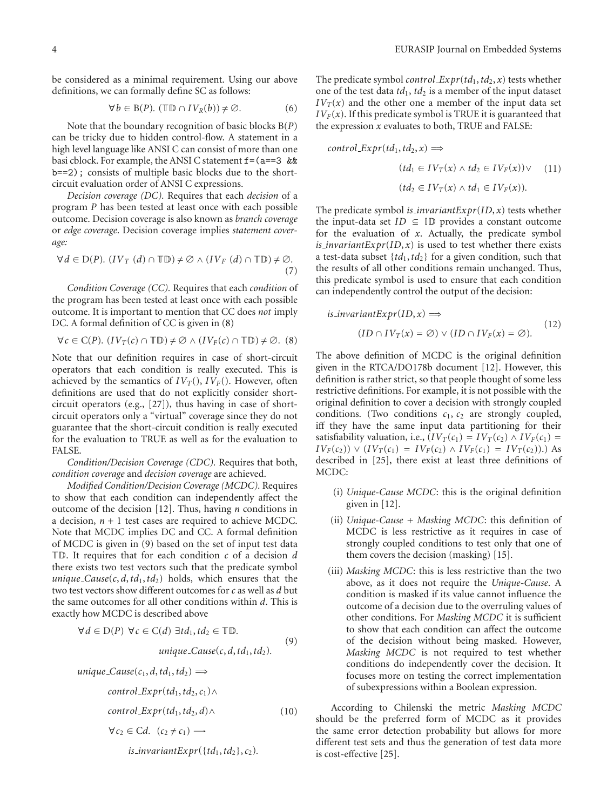be considered as a minimal requirement. Using our above definitions, we can formally define SC as follows:

$$
\forall b \in B(P). (T \mathbb{D} \cap IV_R(b)) \neq \emptyset.
$$
 (6)

Note that the boundary recognition of basic blocks B(*P*) can be tricky due to hidden control-flow. A statement in a high level language like ANSI C can consist of more than one basi cblock. For example, the ANSI C statement f=(a==3 && b==2); consists of multiple basic blocks due to the shortcircuit evaluation order of ANSI C expressions.

*Decision coverage (DC).* Requires that each *decision* of a program *P* has been tested at least once with each possible outcome. Decision coverage is also known as *branch coverage* or *edge coverage*. Decision coverage implies *statement coverage:*

$$
\forall d \in D(P). (IV_T(d) \cap \mathbb{TD}) \neq \emptyset \land (IV_F(d) \cap \mathbb{TD}) \neq \emptyset.
$$
\n(7)

*Condition Coverage (CC).* Requires that each *condition* of the program has been tested at least once with each possible outcome. It is important to mention that CC does *not* imply DC. A formal definition of CC is given in  $(8)$ 

$$
\forall c \in C(P). (IV_T(c) \cap T\mathbb{D}) \neq \emptyset \land (IV_F(c) \cap T\mathbb{D}) \neq \emptyset. (8)
$$

Note that our definition requires in case of short-circuit operators that each condition is really executed. This is achieved by the semantics of  $IV_T()$ ,  $IV_F()$ . However, often definitions are used that do not explicitly consider shortcircuit operators (e.g., [27]), thus having in case of shortcircuit operators only a "virtual" coverage since they do not guarantee that the short-circuit condition is really executed for the evaluation to TRUE as well as for the evaluation to FALSE.

*Condition/Decision Coverage (CDC).* Requires that both, *condition coverage* and *decision coverage* are achieved.

*Modified Condition/Decision Coverage (MCDC).* Requires to show that each condition can independently affect the outcome of the decision [12]. Thus, having *n* conditions in a decision,  $n + 1$  test cases are required to achieve MCDC. Note that MCDC implies DC and CC. A formal definition of MCDC is given in (9) based on the set of input test data TD. It requires that for each condition *c* of a decision *d* there exists two test vectors such that the predicate symbol *unique*  $\text{Cause}(c, d, td_1, td_2)$  holds, which ensures that the two test vectors show different outcomes for *c* as well as *d* but the same outcomes for all other conditions within *d*. This is exactly how MCDC is described above

$$
\forall d \in D(P) \ \forall c \in C(d) \ \exists td_1, td_2 \in \mathbb{TD}.
$$
  
\n
$$
unique\_Cause(c, d, td_1, td_2).
$$
  
\n(9)

$$
unique\_Cause(c_1, d, td_1, td_2) \Longrightarrow
$$
  
\n
$$
control\_Expr(td_1, td_2, c_1) \land
$$
  
\n
$$
control\_Expr(td_1, td_2, d) \land
$$
  
\n
$$
\forall c_2 \in Cd. \ (c_2 \neq c_1) \longrightarrow
$$
  
\n
$$
is\_invariantExpr(\lbrace td_1, td_2 \rbrace, c_2).
$$
\n(10)

The predicate symbol *control\_Expr*( $td_1, td_2, x$ ) tests whether one of the test data  $td_1$ ,  $td_2$  is a member of the input dataset  $IV_T(x)$  and the other one a member of the input data set  $IV_F(x)$ . If this predicate symbol is TRUE it is guaranteed that the expression *x* evaluates to both, TRUE and FALSE:

$$
control\_Expr(td_1, td_2, x) \Longrightarrow
$$
  
\n
$$
(td_1 \in IV_T(x) \land td_2 \in IV_F(x)) \lor \quad (11)
$$
  
\n
$$
(td_2 \in IV_T(x) \land td_1 \in IV_F(x)).
$$

The predicate symbol *is\_invariantExpr*( $ID, x$ ) tests whether the input-data set  $ID \subseteq \mathbb{ID}$  provides a constant outcome for the evaluation of *x*. Actually, the predicate symbol *is invariantExpr*( $ID, x$ ) is used to test whether there exists a test-data subset  $\{td_1,td_2\}$  for a given condition, such that the results of all other conditions remain unchanged. Thus, this predicate symbol is used to ensure that each condition can independently control the output of the decision:

is\_invariant
$$
\text{Expr}(ID, x) \Longrightarrow
$$
  
( $ID \cap IV_T(x) = \emptyset$ )  $\vee$  ( $ID \cap IV_F(x) = \emptyset$ ). (12)

The above definition of MCDC is the original definition given in the RTCA/DO178b document [12]. However, this definition is rather strict, so that people thought of some less restrictive definitions. For example, it is not possible with the original definition to cover a decision with strongly coupled conditions. (Two conditions *c*1, *c*<sup>2</sup> are strongly coupled, iff they have the same input data partitioning for their satisfiability valuation, i.e.,  $(IV_T(c_1) = IV_T(c_2) \wedge IV_F(c_1) =$ *IVF*(*c*<sub>2</sub>)) ∨ (*IV<sub>T</sub>*(*c*<sub>1</sub>) = *IV<sub>F</sub>*(*c*<sub>2</sub>) ∧ *IV<sub>F</sub>*(*c*<sub>1</sub>) = *IV<sub>T</sub>*(*c*<sub>2</sub>)).) As described in [25], there exist at least three definitions of MCDC:

- (i) *Unique-Cause MCDC*: this is the original definition given in [12].
- (ii) *Unique-Cause + Masking MCDC*: this definition of MCDC is less restrictive as it requires in case of strongly coupled conditions to test only that one of them covers the decision (masking) [15].
- (iii) *Masking MCDC*: this is less restrictive than the two above, as it does not require the *Unique-Cause*. A condition is masked if its value cannot influence the outcome of a decision due to the overruling values of other conditions. For *Masking MCDC* it is sufficient to show that each condition can affect the outcome of the decision without being masked. However, *Masking MCDC* is not required to test whether conditions do independently cover the decision. It focuses more on testing the correct implementation of subexpressions within a Boolean expression.

According to Chilenski the metric *Masking MCDC* should be the preferred form of MCDC as it provides the same error detection probability but allows for more different test sets and thus the generation of test data more is cost-effective [25].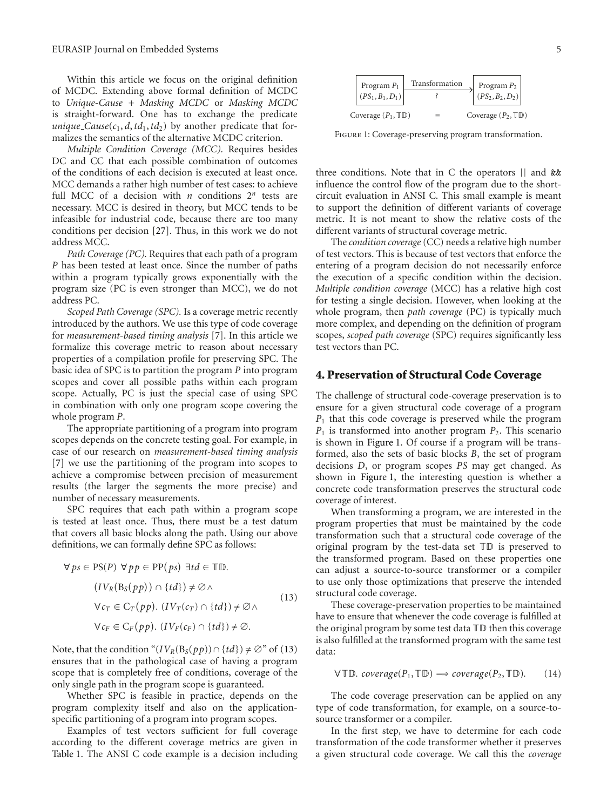Within this article we focus on the original definition of MCDC. Extending above formal definition of MCDC to *Unique-Cause + Masking MCDC* or *Masking MCDC* is straight-forward. One has to exchange the predicate *unique*  $\text{.}$  *Cause*( $c_1$ ,  $d$ ,  $td_1$ ,  $td_2$ ) by another predicate that formalizes the semantics of the alternative MCDC criterion.

*Multiple Condition Coverage (MCC).* Requires besides DC and CC that each possible combination of outcomes of the conditions of each decision is executed at least once. MCC demands a rather high number of test cases: to achieve full MCC of a decision with *n* conditions 2*<sup>n</sup>* tests are necessary. MCC is desired in theory, but MCC tends to be infeasible for industrial code, because there are too many conditions per decision [27]. Thus, in this work we do not address MCC.

*Path Coverage (PC).* Requires that each path of a program *P* has been tested at least once. Since the number of paths within a program typically grows exponentially with the program size (PC is even stronger than MCC), we do not address PC.

*Scoped Path Coverage (SPC).* Is a coverage metric recently introduced by the authors. We use this type of code coverage for *measurement-based timing analysis* [7]. In this article we formalize this coverage metric to reason about necessary properties of a compilation profile for preserving SPC. The basic idea of SPC is to partition the program *P* into program scopes and cover all possible paths within each program scope. Actually, PC is just the special case of using SPC in combination with only one program scope covering the whole program *P*.

The appropriate partitioning of a program into program scopes depends on the concrete testing goal. For example, in case of our research on *measurement-based timing analysis* [7] we use the partitioning of the program into scopes to achieve a compromise between precision of measurement results (the larger the segments the more precise) and number of necessary measurements.

SPC requires that each path within a program scope is tested at least once. Thus, there must be a test datum that covers all basic blocks along the path. Using our above definitions, we can formally define SPC as follows:

$$
\forall ps \in PS(P) \ \forall pp \in PP(ps) \ \exists td \in TD.
$$
  
\n
$$
(IV_R(B_S(pp)) \cap \{td\}) \neq \emptyset \land
$$
  
\n
$$
\forall c_T \in C_T(pp). \ (IV_T(c_T) \cap \{td\}) \neq \emptyset \land
$$
  
\n
$$
\forall c_F \in C_F(pp). \ (IV_F(c_F) \cap \{td\}) \neq \emptyset.
$$
  
\n(13)

Note, that the condition " $(IV_R(B_S(pp)) \cap \{td\}) \neq \emptyset$ " of (13) ensures that in the pathological case of having a program scope that is completely free of conditions, coverage of the only single path in the program scope is guaranteed.

Whether SPC is feasible in practice, depends on the program complexity itself and also on the applicationspecific partitioning of a program into program scopes.

Examples of test vectors sufficient for full coverage according to the different coverage metrics are given in Table 1. The ANSI C code example is a decision including

| Program $P_1$                 | Transformation | Program $P_2$                 |
|-------------------------------|----------------|-------------------------------|
| $(PS_1, B_1, D_1)$            |                | $(PS_2, B_2, D_2)$            |
| Coverage $(P_1, \mathbb{TD})$ |                | Coverage $(P_2, \mathbb{TD})$ |

Figure 1: Coverage-preserving program transformation.

three conditions. Note that in C the operators || and && influence the control flow of the program due to the shortcircuit evaluation in ANSI C. This small example is meant to support the definition of different variants of coverage metric. It is not meant to show the relative costs of the different variants of structural coverage metric.

The *condition coverage*(CC) needs a relative high number of test vectors. This is because of test vectors that enforce the entering of a program decision do not necessarily enforce the execution of a specific condition within the decision. *Multiple condition coverage* (MCC) has a relative high cost for testing a single decision. However, when looking at the whole program, then *path coverage* (PC) is typically much more complex, and depending on the definition of program scopes, *scoped path coverage* (SPC) requires significantly less test vectors than PC.

#### **4. Preservation of Structural Code Coverage**

The challenge of structural code-coverage preservation is to ensure for a given structural code coverage of a program *P*<sup>1</sup> that this code coverage is preserved while the program  $P_1$  is transformed into another program  $P_2$ . This scenario is shown in Figure 1. Of course if a program will be transformed, also the sets of basic blocks *B*, the set of program decisions *D*, or program scopes *PS* may get changed. As shown in Figure 1, the interesting question is whether a concrete code transformation preserves the structural code coverage of interest.

When transforming a program, we are interested in the program properties that must be maintained by the code transformation such that a structural code coverage of the original program by the test-data set TD is preserved to the transformed program. Based on these properties one can adjust a source-to-source transformer or a compiler to use only those optimizations that preserve the intended structural code coverage.

These coverage-preservation properties to be maintained have to ensure that whenever the code coverage is fulfilled at the original program by some test data  $\mathbb{TD}$  then this coverage is also fulfilled at the transformed program with the same test data:

$$
\forall \mathbb{TD}. \text{ coverage}(P_1, \mathbb{TD}) \implies \text{coverage}(P_2, \mathbb{TD}). \qquad (14)
$$

The code coverage preservation can be applied on any type of code transformation, for example, on a source-tosource transformer or a compiler.

In the first step, we have to determine for each code transformation of the code transformer whether it preserves a given structural code coverage. We call this the *coverage*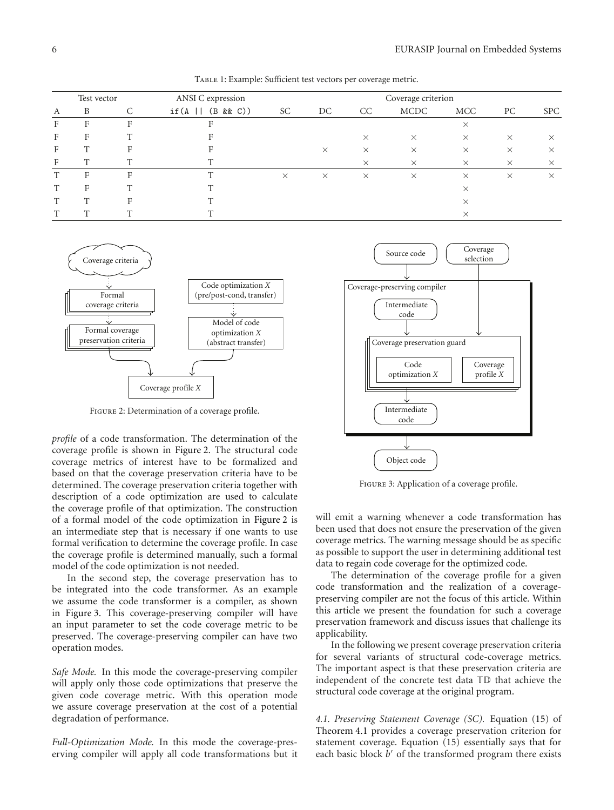|   | Test vector  |   | ANSI C expression               |          |          |               | Coverage criterion |            |          |            |
|---|--------------|---|---------------------------------|----------|----------|---------------|--------------------|------------|----------|------------|
| A | B            | C | (B & & C))<br>$if(A \mid \mid)$ | SC.      | DC       | <sub>CC</sub> | <b>MCDC</b>        | <b>MCC</b> | PC       | <b>SPC</b> |
| F | F            | н | F                               |          |          |               |                    | $\times$   |          |            |
| F | F            |   | Е                               |          |          | X             | $\times$           | $\times$   | $\times$ | $\times$   |
| F | T            | Е | F                               |          | $\times$ | $\times$      | $\times$           | $\times$   | $\times$ | $\times$   |
| F | $\mathbf{T}$ |   | m                               |          |          | $\times$      | $\times$           | $\times$   | $\times$ | $\times$   |
| T | Е            | Е | T                               | $\times$ | $\times$ | $\times$      | $\times$           | $\times$   | $\times$ | $\times$   |
| T | F            |   |                                 |          |          |               |                    | ×          |          |            |
| T | $\mathbf{T}$ |   | m                               |          |          |               |                    | $\times$   |          |            |
|   | m            |   |                                 |          |          |               |                    | $\times$   |          |            |

Table 1: Example: Sufficient test vectors per coverage metric.



Figure 2: Determination of a coverage profile.

*profile* of a code transformation. The determination of the coverage profile is shown in Figure 2. The structural code coverage metrics of interest have to be formalized and based on that the coverage preservation criteria have to be determined. The coverage preservation criteria together with description of a code optimization are used to calculate the coverage profile of that optimization. The construction of a formal model of the code optimization in Figure 2 is an intermediate step that is necessary if one wants to use formal verification to determine the coverage profile. In case the coverage profile is determined manually, such a formal model of the code optimization is not needed.

In the second step, the coverage preservation has to be integrated into the code transformer. As an example we assume the code transformer is a compiler, as shown in Figure 3. This coverage-preserving compiler will have an input parameter to set the code coverage metric to be preserved. The coverage-preserving compiler can have two operation modes.

*Safe Mode.* In this mode the coverage-preserving compiler will apply only those code optimizations that preserve the given code coverage metric. With this operation mode we assure coverage preservation at the cost of a potential degradation of performance.

*Full-Optimization Mode.* In this mode the coverage-preserving compiler will apply all code transformations but it



FIGURE 3: Application of a coverage profile.

will emit a warning whenever a code transformation has been used that does not ensure the preservation of the given coverage metrics. The warning message should be as specific as possible to support the user in determining additional test data to regain code coverage for the optimized code.

The determination of the coverage profile for a given code transformation and the realization of a coveragepreserving compiler are not the focus of this article. Within this article we present the foundation for such a coverage preservation framework and discuss issues that challenge its applicability.

In the following we present coverage preservation criteria for several variants of structural code-coverage metrics. The important aspect is that these preservation criteria are independent of the concrete test data TD that achieve the structural code coverage at the original program.

*4.1. Preserving Statement Coverage (SC).* Equation (15) of Theorem 4.1 provides a coverage preservation criterion for statement coverage. Equation (15) essentially says that for each basic block *b'* of the transformed program there exists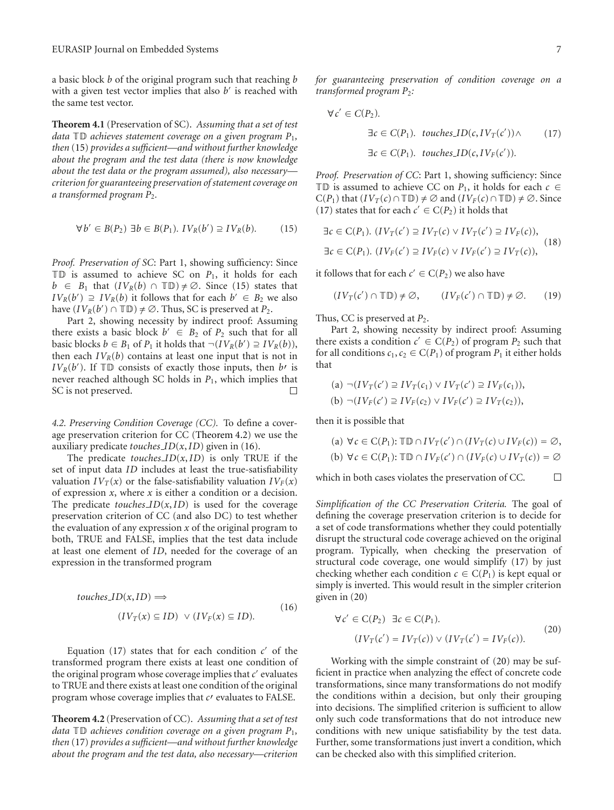a basic block *b* of the original program such that reaching *b* with a given test vector implies that also *b'* is reached with the same test vector.

**Theorem 4.1** (Preservation of SC). *Assuming that a set of test data* TD *achieves statement coverage on a given program P*1*, then* (15) *provides a sufficient—and without further knowledge about the program and the test data (there is now knowledge about the test data or the program assumed), also necessary criterion for guaranteeing preservation of statement coverage on a transformed program P*2*.*

$$
\forall b' \in B(P_2) \exists b \in B(P_1). \ IV_R(b') \supseteq IV_R(b). \tag{15}
$$

*Proof. Preservation of SC*: Part 1, showing sufficiency: Since  $T\mathbb{D}$  is assumed to achieve SC on  $P_1$ , it holds for each *b* ∈ *B*<sub>1</sub> that  $(IV_R(b) \cap \mathbb{TD}) \neq \emptyset$ . Since (15) states that *IV<sub>R</sub>*(*b*<sup> $\prime$ </sup>) ⊇ *IV<sub>R</sub>*(*b*) it follows that for each *b*<sup> $\prime$ </sup> ∈ *B*<sub>2</sub> we also have  $(IV_R(b') \cap \mathbb{TD}) \neq \emptyset$ . Thus, SC is preserved at *P*<sub>2</sub>.

Part 2, showing necessity by indirect proof: Assuming there exists a basic block  $b' \in B_2$  of  $P_2$  such that for all basic blocks  $b \in B_1$  of  $P_1$  it holds that  $\neg (IV_R(b') \supseteq IV_R(b)),$ then each  $IV_R(b)$  contains at least one input that is not in *IV<sub>R</sub>*(*b*<sup>'</sup>). If  $\mathbb{T} \mathbb{D}$  consists of exactly those inputs, then *b*<sup>*i*</sup> is never reached although SC holds in *P*1, which implies that SC is not preserved.  $\Box$ 

*4.2. Preserving Condition Coverage (CC).* To define a coverage preservation criterion for CC (Theorem 4.2) we use the auxiliary predicate *touches*  $ID(x, ID)$  given in (16).

The predicate *touches*  $ID(x, ID)$  is only TRUE if the set of input data *ID* includes at least the true-satisfiability valuation  $IV_T(x)$  or the false-satisfiability valuation  $IV_F(x)$ of expression *x*, where *x* is either a condition or a decision. The predicate *touches*  $ID(x, ID)$  is used for the coverage preservation criterion of CC (and also DC) to test whether the evaluation of any expression  $x$  of the original program to both, TRUE and FALSE, implies that the test data include at least one element of *ID*, needed for the coverage of an expression in the transformed program

$$
touches\_ID(x, ID) \Longrightarrow (IV_T(x) \subseteq ID) \lor (IV_F(x) \subseteq ID).
$$
 (16)

Equation  $(17)$  states that for each condition  $c'$  of the transformed program there exists at least one condition of the original program whose coverage implies that *c'* evaluates to TRUE and there exists at least one condition of the original program whose coverage implies that  $c'$  evaluates to FALSE.

**Theorem 4.2** (Preservation of CC). *Assuming that a set of test data* TD *achieves condition coverage on a given program P*1*, then* (17) *provides a sufficient—and without further knowledge about the program and the test data, also necessary—criterion* *for guaranteeing preservation of condition coverage on a transformed program*  $P_2$ *:* 

$$
\forall c' \in C(P_2).
$$
  
\n
$$
\exists c \in C(P_1). \quad touches \, \underline{ID}(c, IV_T(c')) \land \qquad (17)
$$
  
\n
$$
\exists c \in C(P_1). \quad touches \, \underline{ID}(c, IV_F(c')).
$$

*Proof. Preservation of CC*: Part 1, showing sufficiency: Since TD is assumed to achieve CC on  $P_1$ , it holds for each  $c$  ∈  $C(P_1)$  that  $(IV_T(c) \cap \mathbb{TD}) \neq \emptyset$  and  $(IV_F(c) \cap \mathbb{TD}) \neq \emptyset$ . Since (17) states that for each  $c' \in C(P_2)$  it holds that

$$
\exists c \in \mathcal{C}(P_1). \ (IV_T(c') \supseteq IV_T(c) \lor IV_T(c') \supseteq IV_F(c)),
$$
  

$$
\exists c \in \mathcal{C}(P_1). \ (IV_F(c') \supseteq IV_F(c) \lor IV_F(c') \supseteq IV_T(c)),
$$
 (18)

it follows that for each  $c' \in C(P_2)$  we also have

 $(V_T(c') \cap \mathbb{TD}) \neq \emptyset, \qquad (IV_F(c')$  $(IV_F(c') \cap \mathbb{TD}) \neq \emptyset.$  (19)

Thus, CC is preserved at  $P_2$ .

Part 2, showing necessity by indirect proof: Assuming there exists a condition  $c' \in C(P_2)$  of program  $P_2$  such that for all conditions  $c_1, c_2 \in C(P_1)$  of program  $P_1$  it either holds that

(a) 
$$
\neg (IV_T(c') \supseteq IV_T(c_1) \lor IV_T(c') \supseteq IV_F(c_1)),
$$
  
(b)  $\neg (IV_F(c') \supseteq IV_F(c_2) \lor IV_F(c') \supseteq IV_T(c_2)),$ 

then it is possible that

(a) 
$$
\forall c \in C(P_1)
$$
:  $\mathbb{TD} \cap IV_T(c') \cap (IV_T(c) \cup IV_F(c)) = \varnothing$ ,

(b) 
$$
\forall c \in C(P_1)
$$
:  $\mathbb{TD} \cap IV_F(c') \cap (IV_F(c) \cup IV_T(c)) = \varnothing$ 

which in both cases violates the preservation of CC.  $\Box$ 

*Simplification of the CC Preservation Criteria.* The goal of defining the coverage preservation criterion is to decide for a set of code transformations whether they could potentially disrupt the structural code coverage achieved on the original program. Typically, when checking the preservation of structural code coverage, one would simplify (17) by just checking whether each condition  $c \in C(P_1)$  is kept equal or simply is inverted. This would result in the simpler criterion given in (20)

$$
\forall c' \in C(P_2) \exists c \in C(P_1). \tag{20}
$$

$$
(IV_T(c') = IV_T(c)) \vee (IV_T(c') = IV_F(c)).
$$

Working with the simple constraint of (20) may be sufficient in practice when analyzing the effect of concrete code transformations, since many transformations do not modify the conditions within a decision, but only their grouping into decisions. The simplified criterion is sufficient to allow only such code transformations that do not introduce new conditions with new unique satisfiability by the test data. Further, some transformations just invert a condition, which can be checked also with this simplified criterion.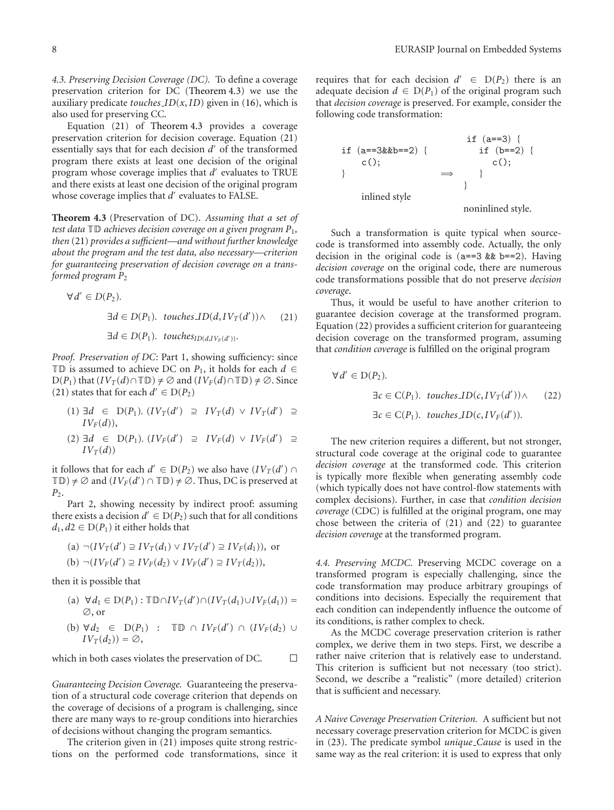*4.3. Preserving Decision Coverage (DC).* To define a coverage preservation criterion for DC (Theorem 4.3) we use the auxiliary predicate *touches*  $ID(x, ID)$  given in (16), which is also used for preserving CC.

Equation (21) of Theorem 4.3 provides a coverage preservation criterion for decision coverage. Equation (21) essentially says that for each decision  $d'$  of the transformed program there exists at least one decision of the original program whose coverage implies that *d'* evaluates to TRUE and there exists at least one decision of the original program whose coverage implies that *d'* evaluates to FALSE.

**Theorem 4.3** (Preservation of DC). *Assuming that a set of test data* TD *achieves decision coverage on a given program P*1*, then* (21) *provides a sufficient—and without further knowledge about the program and the test data, also necessary—criterion for guaranteeing preservation of decision coverage on a transformed program P*<sup>2</sup>

$$
\forall d' \in D(P_2).
$$
  
\n
$$
\exists d \in D(P_1). \t touches\_ID(d, IV_T(d')) \wedge (21)
$$
  
\n
$$
\exists d \in D(P_1). \t touches_{ID(d, IV_T(d'))}.
$$

*Proof. Preservation of DC*: Part 1, showing sufficiency: since TD is assumed to achieve DC on  $P_1$ , it holds for each *d* ∈  $D(P_1)$  that  $(IV_T(d) \cap \mathbb{TD}) \neq \emptyset$  and  $(IV_F(d) \cap \mathbb{TD}) \neq \emptyset$ . Since (21) states that for each  $d' \in D(P_2)$ 

- $(1) \exists d \in D(P_1)$ .  $(IV_T(d')) \supseteq IV_T(d) \vee IV_T(d') \supseteq$  $IV_F(d)$ ,
- $(2) \exists d \in D(P_1)$ *.*  $(IV_F(d')) \supseteq IV_F(d) \vee IV_F(d') \supseteq$  $IV_T(d)$

it follows that for each  $d' \in D(P_2)$  we also have  $(IV_T(d') \cap I_T)$  $(T\mathbb{D}) \neq \emptyset$  and  $(IV_F(d') \cap T\mathbb{D}) \neq \emptyset$ . Thus, DC is preserved at *P*2.

Part 2, showing necessity by indirect proof: assuming there exists a decision  $d' \in D(P_2)$  such that for all conditions  $d_1, d_2 \in D(P_1)$  it either holds that

(a) 
$$
\neg (IV_T(d') \supseteq IV_T(d_1) \vee IV_T(d') \supseteq IV_F(d_1)),
$$
 or  
(b)  $\neg (IV_F(d') \supseteq IV_F(d_2) \vee IV_F(d') \supseteq IV_T(d_2)),$ 

then it is possible that

- (a)  $\forall d_1 \in D(P_1)$ : TD∩*IV<sub>T</sub>*(*d'*)∩(*IV<sub>T</sub>*(*d*<sub>1</sub>)∪*IV<sub>F</sub>*(*d*<sub>1</sub>)) = ∅, or
- $(b) \forall d_2 \in D(P_1)$  : TD ∩  $IV_F(d') \cap (IV_F(d_2) \cup$  $IV_T(d_2) = \emptyset$ ,

which in both cases violates the preservation of DC.  $\Box$ 

*Guaranteeing Decision Coverage.* Guaranteeing the preservation of a structural code coverage criterion that depends on the coverage of decisions of a program is challenging, since there are many ways to re-group conditions into hierarchies of decisions without changing the program semantics.

The criterion given in (21) imposes quite strong restrictions on the performed code transformations, since it

requires that for each decision  $d' \in D(P_2)$  there is an adequate decision  $d \in D(P_1)$  of the original program such that *decision coverage* is preserved. For example, consider the following code transformation:

$$
\begin{array}{ccc}\n & \text{if } (a == 3) \{ \\
 \text{if } (a == 3) \{ \\
 \text{c();} \\
 \} \quad & \text{if } (b == 2) \{ \\
 \text{c();} \\
 \} \quad & \text{if } (b == 3) \{ \\
 \text{c();} \\
 \} \quad & \text{if } (b == 2) \{ \\
 \text{c();} \\
 \} \quad & \text{if } (b == 3) \{ \\
 \text{c();} \\
 \} \quad & \text{if } (b == 3) \{ \\
 \text{c();} \\
 \} \quad & \text{if } (b == 3) \{ \\
 \text{c();} \\
 \} \quad & \text{if } (b == 3) \{ \\
 \text{c();} \\
 \} \quad & \text{if } (b == 3) \{ \\
 \text{c();} \\
 \} \quad & \text{if } (b == 3) \{ \\
 \text{c();} \\
 \} \quad & \text{if } (b == 3) \{ \\
 \text{c();} \\
 \} \quad & \text{if } (b == 3) \{ \\
 \text{c();} \\
 \} \quad & \text{if } (b == 3) \{ \\
 \text{c();} \\
 \} \quad & \text{if } (b == 3) \{ \\
 \text{c();} \\
 \} \quad & \text{if } (b == 3) \{ \\
 \text{c();} \\
 \} \quad & \text{if } (b == 3) \{ \\
 \text{c();} \\
 \} \quad & \text{if } (b == 3) \{ \\
 \text{c();} \\
 \} \quad & \text{if } (b == 3) \{ \\
 \text{c();} \\
 \} \quad & \text{if } (b == 3) \{ \\
 \text{c();} \\
 \} \quad & \text{if } (b == 3) \{ \\
 \text{c();} \\
 \} \quad & \text{if } (b == 3) \{ \\
 \text{c();} \\
 \} \quad & \text{if } (b == 3) \{ \\
 \text{c();} \\
 \} \quad & \text{if } (b == 3) \{ \\
 \text{c();} \\
 \} \quad & \text{if } (b == 3) \{ \\
 \text{c();} \\
 \} \quad & \text{if } (b == 3) \{ \\
 \text{c();} \\
 \} \quad & \text{if } (b == 3) \{ \\
 \text{c();} \\
 \} \quad & \text{if } (b
$$

Such a transformation is quite typical when sourcecode is transformed into assembly code. Actually, the only decision in the original code is  $(a==3 \& b==2)$ . Having *decision coverage* on the original code, there are numerous code transformations possible that do not preserve *decision coverage*.

Thus, it would be useful to have another criterion to guarantee decision coverage at the transformed program. Equation (22) provides a sufficient criterion for guaranteeing decision coverage on the transformed program, assuming that *condition coverage* is fulfilled on the original program

$$
\forall d' \in D(P_2).
$$
  
\n
$$
\exists c \in C(P_1). \t touches\_ID(c, IV_T(d')) \land (22)
$$
  
\n
$$
\exists c \in C(P_1). \t touches\_ID(c, IV_F(d')).
$$

The new criterion requires a different, but not stronger, structural code coverage at the original code to guarantee *decision coverage* at the transformed code. This criterion is typically more flexible when generating assembly code (which typically does not have control-flow statements with complex decisions). Further, in case that *condition decision coverage* (CDC) is fulfilled at the original program, one may chose between the criteria of (21) and (22) to guarantee *decision coverage* at the transformed program.

*4.4. Preserving MCDC.* Preserving MCDC coverage on a transformed program is especially challenging, since the code transformation may produce arbitrary groupings of conditions into decisions. Especially the requirement that each condition can independently influence the outcome of its conditions, is rather complex to check.

As the MCDC coverage preservation criterion is rather complex, we derive them in two steps. First, we describe a rather naive criterion that is relatively ease to understand. This criterion is sufficient but not necessary (too strict). Second, we describe a "realistic" (more detailed) criterion that is sufficient and necessary.

*A Naive Coverage Preservation Criterion.* A sufficient but not necessary coverage preservation criterion for MCDC is given in (23). The predicate symbol *unique Cause* is used in the same way as the real criterion: it is used to express that only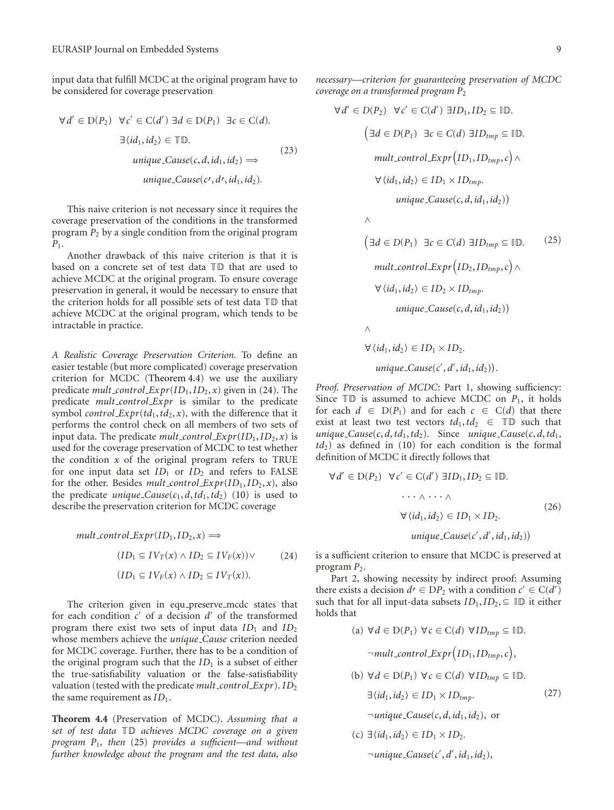input data that fulfill MCDC at the original program have to be considered for coverage preservation

$$
\forall d' \in D(P_2) \quad \forall c' \in C(d') \; \exists d \in D(P_1) \; \exists c \in C(d).
$$

$$
\exists \langle id_1, id_2 \rangle \in \mathbb{TD}.
$$

$$
unique\_Cause(c, d, id_1, id_2) \Longrightarrow
$$

$$
unique\_Cause(c', d', id_1, id_2).
$$

$$
(23)
$$

This naive criterion is not necessary since it requires the coverage preservation of the conditions in the transformed program  $P_2$  by a single condition from the original program *P*1.

Another drawback of this naive criterion is that it is based on a concrete set of test data TD that are used to achieve MCDC at the original program. To ensure coverage preservation in general, it would be necessary to ensure that the criterion holds for all possible sets of test data TD that achieve MCDC at the original program, which tends to be intractable in practice.

*A Realistic Coverage Preservation Criterion.* To define an easier testable (but more complicated) coverage preservation criterion for MCDC (Theorem 4.4) we use the auxiliary predicate *mult\_control\_Expr*( $ID_1$ , $ID_2$ , $x$ ) given in (24). The predicate *mult control Expr* is similar to the predicate symbol *control*  $Expr(td_1, td_2, x)$ , with the difference that it performs the control check on all members of two sets of input data. The predicate *mult\_control\_Expr*( $ID_1$ , $ID_2$ , $x$ ) is used for the coverage preservation of MCDC to test whether the condition  $x$  of the original program refers to TRUE for one input data set *ID*<sup>1</sup> or *ID*<sup>2</sup> and refers to FALSE for the other. Besides *mult\_control\_Expr*( $ID_1$ , $ID_2$ , $x$ ), also the predicate *unique*  $\text{Cause}(c_1, d, td_1, td_2)$  (10) is used to describe the preservation criterion for MCDC coverage

$$
\begin{aligned}\n\textit{mult\_control\_Expr(ID_1, ID_2, x)} &\Longrightarrow \\
&\quad (ID_1 \subseteq IV_T(x) \land ID_2 \subseteq IV_F(x)) \lor \\
&\quad (ID_1 \subseteq IV_F(x) \land ID_2 \subseteq IV_T(x)).\n\end{aligned}\n\tag{24}
$$

The criterion given in equ preserve mcdc states that for each condition *c'* of a decision *d'* of the transformed program there exist two sets of input data  $ID_1$  and  $ID_2$ whose members achieve the *unique Cause* criterion needed for MCDC coverage. Further, there has to be a condition of the original program such that the  $ID_1$  is a subset of either the true-satisfiability valuation or the false-satisfiability valuation (tested with the predicate *mult control Expr*). *ID*<sup>2</sup> the same requirement as *ID*1.

**Theorem 4.4** (Preservation of MCDC). *Assuming that a set of test data* TD *achieves MCDC coverage on a given program P*1*, then* (25) *provides a sufficient—and without further knowledge about the program and the test data, also*

*necessary—criterion for guaranteeing preservation of MCDC coverage on a transformed program*  $P_2$ 

$$
\forall d' \in D(P_2) \ \forall c' \in C(d') \ \exists ID_1, ID_2 \subseteq \mathbb{ID}.
$$
  
\n
$$
(\exists d \in D(P_1) \ \exists c \in C(d) \ \exists ID_{tmp} \subseteq \mathbb{ID}.
$$
  
\n*mult-control* 
$$
Exp([ID_1, ID_{tmp}, c) \land
$$
  
\n
$$
\forall \langle id_1, id_2 \rangle \in ID_1 \times ID_{tmp}.
$$
  
\n*unique* 
$$
Cause(c, d, id_1, id_2)
$$
  
\n
$$
\land
$$
  
\n
$$
(\exists d \in D(P_1) \ \exists c \in C(d) \ \exists ID_{tmp} \subseteq \mathbb{ID}. \qquad (25)
$$
  
\n*mult-control* 
$$
Exp([ID_2, ID_{tmp}, c) \land
$$
  
\n
$$
\forall \langle id_1, id_2 \rangle \in ID_2 \times ID_{tmp}.
$$
  
\n*unique* 
$$
Cause(c, d, id_1, id_2)
$$
  
\n
$$
\land
$$
  
\n
$$
\forall \langle id_1, id_2 \rangle \in ID_1 \ \forall ID
$$

$$
\forall \langle id_1, id_2 \rangle \in ID_1 \times ID_2.
$$
  
unique-Cause( $c', d', id_1, id_2$ )).

*Proof. Preservation of MCDC*: Part 1, showing sufficiency: Since  $\mathbb{TD}$  is assumed to achieve MCDC on  $P_1$ , it holds for each  $d \in D(P_1)$  and for each  $c \in C(d)$  that there exist at least two test vectors  $td_1,td_2 \in \mathbb{TD}$  such that  $unique\_Cause(c, d, td_1, td_2)$ . Since  $unique\_Cause(c, d, td_1,$  $td<sub>2</sub>$ ) as defined in (10) for each condition is the formal definition of MCDC it directly follows that

$$
\forall d' \in D(P_2) \quad \forall c' \in C(d') \exists ID_1, ID_2 \subseteq \mathbb{ID}.
$$

$$
\cdots \land \cdots \land
$$

$$
\forall \langle id_1, id_2 \rangle \in ID_1 \times ID_2.
$$

$$
\text{unique\_Cause}(c', d', id_1, id_2))
$$

$$
(26)
$$

is a sufficient criterion to ensure that MCDC is preserved at program  $P_2$ .

Part 2, showing necessity by indirect proof: Assuming there exists a decision  $d' \in DP_2$  with a condition  $c' \in C(d')$ such that for all input-data subsets  $ID_1, ID_2, \subseteq \mathbb{ID}$  it either holds that

(a) 
$$
\forall d \in D(P_1) \forall c \in C(d) \forall ID_{tmp} \subseteq \mathbb{ID}
$$
.  
\n
$$
\neg mult{\_}control\_{Expr}\left(ID_1, ID_{tmp}, c\right),
$$
\n(b)  $\forall d \in D(P_1) \forall c \in C(d) \forall ID_{tmp} \subseteq \mathbb{ID}$ .  
\n
$$
\exists \langle id_1, id_2 \rangle \in ID_1 \times ID_{tmp}
$$
. (27)  
\n
$$
\neg unique{\_}Case(c, d, id_1, id_2), \text{ or}
$$
  
\n(c)  $\exists \langle id_1, id_2 \rangle \in ID_1 \times ID_2$ .

$$
\neg unique\_Cause(c', d', id_1, id_2),
$$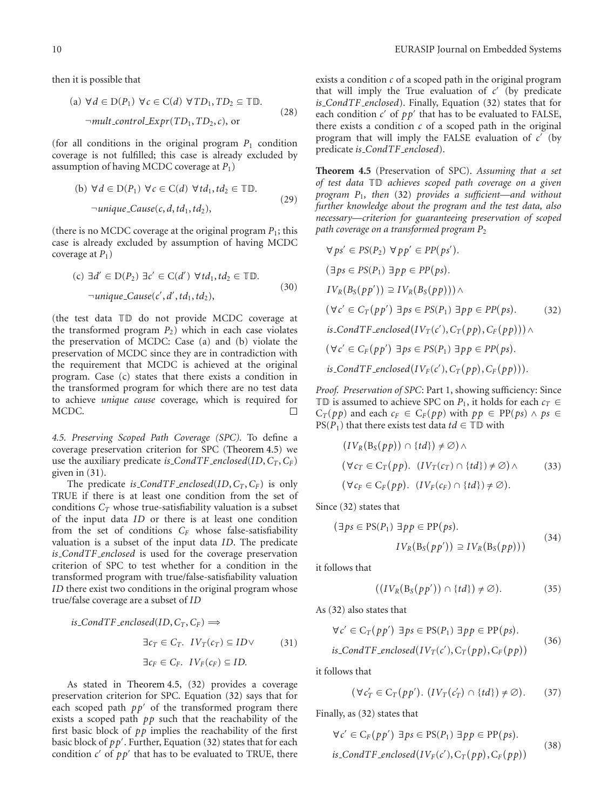then it is possible that

(a) 
$$
\forall d \in D(P_1) \forall c \in C(d) \forall TD_1, TD_2 \subseteq TD
$$
.  
\n $\neg mult{\_}control\_{Expr(TD_1, TD_2, c), or}$  (28)

(for all conditions in the original program  $P_1$  condition coverage is not fulfilled; this case is already excluded by assumption of having MCDC coverage at *P*1)

(b) 
$$
\forall d \in D(P_1) \forall c \in C(d) \forall td_1, td_2 \in TD.
$$
  
\n
$$
\neg unique\_Cause(c, d, td_1, td_2),
$$
\n(29)

(there is no MCDC coverage at the original program *P*1; this case is already excluded by assumption of having MCDC coverage at  $P_1$ )

(c) 
$$
\exists d' \in D(P_2) \exists c' \in C(d') \forall td_1, td_2 \in \mathbb{TD}.
$$
  
\n
$$
\neg unique\_Cause(c', d', td_1, td_2),
$$
\n(30)

(the test data TD do not provide MCDC coverage at the transformed program  $P_2$ ) which in each case violates the preservation of MCDC: Case (a) and (b) violate the preservation of MCDC since they are in contradiction with the requirement that MCDC is achieved at the original program. Case (c) states that there exists a condition in the transformed program for which there are no test data to achieve *unique cause* coverage, which is required for MCDC.  $\Box$ 

*4.5. Preserving Scoped Path Coverage (SPC).* To define a coverage preservation criterion for SPC (Theorem 4.5) we use the auxiliary predicate *is*  $\text{CondTF\_enclosed}(ID, C_T, C_F)$ given in (31).

The predicate *is CondTF enclosed*(*ID*,*CT*,*CF* ) is only TRUE if there is at least one condition from the set of conditions  $C_T$  whose true-satisfiability valuation is a subset of the input data *ID* or there is at least one condition from the set of conditions  $C_F$  whose false-satisfiability valuation is a subset of the input data *ID*. The predicate *is CondTF enclosed* is used for the coverage preservation criterion of SPC to test whether for a condition in the transformed program with true/false-satisfiability valuation *ID* there exist two conditions in the original program whose true/false coverage are a subset of *ID*

is\_CondTF\_{enclosed}(ID, C\_T, C\_F) 
$$
\Rightarrow
$$
  
\n $\exists c_T \in C_T. \quad IV_T(c_T) \subseteq ID \vee$  (31)  
\n $\exists c_F \in C_F. \quad IV_F(c_F) \subseteq ID.$ 

As stated in Theorem 4.5, (32) provides a coverage preservation criterion for SPC. Equation (32) says that for each scoped path  $pp'$  of the transformed program there exists a scoped path *pp* such that the reachability of the first basic block of *pp* implies the reachability of the first basic block of *pp* . Further, Equation (32) states that for each condition  $c'$  of  $pp'$  that has to be evaluated to TRUE, there

exists a condition *c* of a scoped path in the original program that will imply the True evaluation of  $c'$  (by predicate *is CondTF enclosed*). Finally, Equation (32) states that for each condition  $c'$  of  $pp'$  that has to be evaluated to FALSE, there exists a condition  $c$  of a scoped path in the original program that will imply the FALSE evaluation of *c* (by predicate *is CondTF enclosed*).

**Theorem 4.5** (Preservation of SPC). *Assuming that a set of test data* TD *achieves scoped path coverage on a given program P*1*, then* (32) *provides a sufficient—and without further knowledge about the program and the test data, also necessary—criterion for guaranteeing preservation of scoped path coverage on a transformed program P*<sup>2</sup>

$$
\forall ps' \in PS(P_2) \ \forall pp' \in PP(ps').
$$
  
\n
$$
(\exists ps \in PS(P_1) \ \exists pp \in PP(ps).\nIV_R(B_S(pp')) \supseteq IV_R(B_S(pp))) \land
$$
  
\n
$$
(\forall c' \in C_T(pp') \ \exists ps \in PS(P_1) \ \exists pp \in PP(ps).\nis\_CondTF\_enclosed(IV_T(c'), C_T(pp), C_F(pp))) \land
$$
  
\n
$$
(\forall c' \in C_F(pp') \ \exists ps \in PS(P_1) \ \exists pp \in PP(ps).\nis\_CondTF\_enclosed(IV_F(c'), C_T(pp), C_F(pp))).
$$

*Proof. Preservation of SPC*: Part 1, showing sufficiency: Since TD is assumed to achieve SPC on  $P_1$ , it holds for each  $c_T$  ∈  $C_T(pp)$  and each  $c_F \in C_F(pp)$  with  $pp \in PP(ps) \land ps \in$  $PS(P_1)$  that there exists test data *td* ∈ TD with

$$
(IV_R(B_S(pp)) \cap \{td\}) \neq \emptyset) \land
$$
  
\n
$$
(\forall c_T \in C_T(pp). \ (IV_T(c_T) \cap \{td\}) \neq \emptyset) \land \ (33)
$$
  
\n
$$
(\forall c_F \in C_F(pp). \ (IV_F(c_F) \cap \{td\}) \neq \emptyset).
$$

Since (32) states that

$$
(\exists ps \in PS(P_1) \exists pp \in PP(ps). \qquad (34)
$$

$$
IV_R(B_S(pp')) \supseteq IV_R(B_S(pp)))
$$

it follows that

$$
((IVR(BS(p p')) \cap {td}) \neq \varnothing).
$$
 (35)

As (32) also states that

$$
\forall c' \in C_T(pp') \exists ps \in PS(P_1) \exists pp \in PP(ps). \nis\_CondTF\_enclosed(IV_T(c'), C_T(pp), C_F(pp))
$$
\n(36)

it follows that

$$
(\forall c'_T \in C_T(pp'). \ (IV_T(c'_T) \cap \{td\}) \neq \emptyset).
$$
 (37)

Finally, as (32) states that

$$
\forall c' \in C_F(pp') \exists ps \in PS(P_1) \exists pp \in PP(ps). \nis\_CondTF\_enclosed(IV_F(c'), C_T(pp), C_F(pp))
$$
\n(38)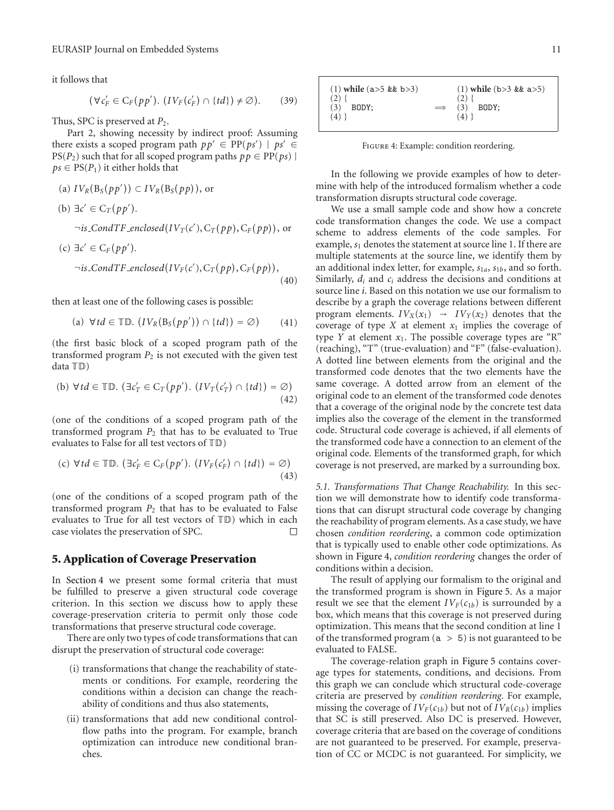it follows that

$$
(\forall c_F' \in C_F(p p'). (IV_F(c_F') \cap \{td\}) \neq \emptyset).
$$
 (39)

Thus, SPC is preserved at  $P_2$ .

Part 2, showing necessity by indirect proof: Assuming there exists a scoped program path  $pp' \in PP(ps') | ps' \in$  $PS(P_2)$  such that for all scoped program paths  $pp \in PP(ps)$  $ps \in PS(P_1)$  it either holds that

(a) 
$$
IV_R(B_S(pp')) \subset IV_R(B_S(pp))
$$
, or  
\n(b)  $\exists c' \in C_T(pp').$   
\n $\neg is\text{CondTF}\text{.enclosed}(IV_T(c'), C_T(pp), C_F(pp))$ , or  
\n(c)  $\exists c' \in C_F(pp').$   
\n $\neg is\text{CondTF}\text{.enclosed}(IV_F(c'), C_T(pp), C_F(pp))$ , (40)

then at least one of the following cases is possible:

(a) 
$$
\forall td \in \mathbb{TD}
$$
.  $(IV_R(B_S(pp')) \cap \{td\}) = \varnothing)$  (41)

(the first basic block of a scoped program path of the transformed program  $P_2$  is not executed with the given test data TD)

(b) 
$$
\forall td \in \mathbb{TD}
$$
.  $(\exists c'_T \in C_T(pp')$ .  $(IV_T(c'_T) \cap \{td\}) = \emptyset)$  (42)

(one of the conditions of a scoped program path of the transformed program *P*<sup>2</sup> that has to be evaluated to True evaluates to False for all test vectors of TD)

(c) 
$$
\forall td \in \mathbb{TD}
$$
.  $(\exists c'_F \in C_F(pp'). (IV_F(c'_F) \cap \{td\}) = \emptyset)$  (43)

(one of the conditions of a scoped program path of the transformed program  $P_2$  that has to be evaluated to False evaluates to True for all test vectors of TD) which in each case violates the preservation of SPC.  $\Box$ 

#### **5. Application of Coverage Preservation**

In Section 4 we present some formal criteria that must be fulfilled to preserve a given structural code coverage criterion. In this section we discuss how to apply these coverage-preservation criteria to permit only those code transformations that preserve structural code coverage.

There are only two types of code transformations that can disrupt the preservation of structural code coverage:

- (i) transformations that change the reachability of statements or conditions. For example, reordering the conditions within a decision can change the reachability of conditions and thus also statements,
- (ii) transformations that add new conditional controlflow paths into the program. For example, branch optimization can introduce new conditional branches.

| $(1)$ while $(a>5$ && b>3)<br>$(2)$ {<br>$(3)$ BODY;<br>$\implies$<br>(4) | (1) while (b>3 && a>5)<br>$(3)$ BODY:<br>(4) |
|---------------------------------------------------------------------------|----------------------------------------------|
|---------------------------------------------------------------------------|----------------------------------------------|



In the following we provide examples of how to determine with help of the introduced formalism whether a code transformation disrupts structural code coverage.

We use a small sample code and show how a concrete code transformation changes the code. We use a compact scheme to address elements of the code samples. For example,  $s_1$  denotes the statement at source line 1. If there are multiple statements at the source line, we identify them by an additional index letter, for example, *s*<sup>1</sup>*a*, *s*<sup>1</sup>*b*, and so forth. Similarly,  $d_i$  and  $c_i$  address the decisions and conditions at source line *i*. Based on this notation we use our formalism to describe by a graph the coverage relations between different program elements.  $IV_X(x_1) \rightarrow IV_Y(x_2)$  denotes that the coverage of type  $X$  at element  $x_1$  implies the coverage of type *Y* at element  $x_1$ . The possible coverage types are "R" (reaching), "T" (true-evaluation) and "F" (false-evaluation). A dotted line between elements from the original and the transformed code denotes that the two elements have the same coverage. A dotted arrow from an element of the original code to an element of the transformed code denotes that a coverage of the original node by the concrete test data implies also the coverage of the element in the transformed code. Structural code coverage is achieved, if all elements of the transformed code have a connection to an element of the original code. Elements of the transformed graph, for which coverage is not preserved, are marked by a surrounding box.

*5.1. Transformations That Change Reachability.* In this section we will demonstrate how to identify code transformations that can disrupt structural code coverage by changing the reachability of program elements. As a case study, we have chosen *condition reordering*, a common code optimization that is typically used to enable other code optimizations. As shown in Figure 4, *condition reordering* changes the order of conditions within a decision.

The result of applying our formalism to the original and the transformed program is shown in Figure 5. As a major result we see that the element  $IV_F(c_{1b})$  is surrounded by a box, which means that this coverage is not preserved during optimization. This means that the second condition at line 1 of the transformed program (a *>* 5) is not guaranteed to be evaluated to FALSE.

The coverage-relation graph in Figure 5 contains coverage types for statements, conditions, and decisions. From this graph we can conclude which structural code-coverage criteria are preserved by *condition reordering*. For example, missing the coverage of  $IV_F(c_{1b})$  but not of  $IV_R(c_{1b})$  implies that SC is still preserved. Also DC is preserved. However, coverage criteria that are based on the coverage of conditions are not guaranteed to be preserved. For example, preservation of CC or MCDC is not guaranteed. For simplicity, we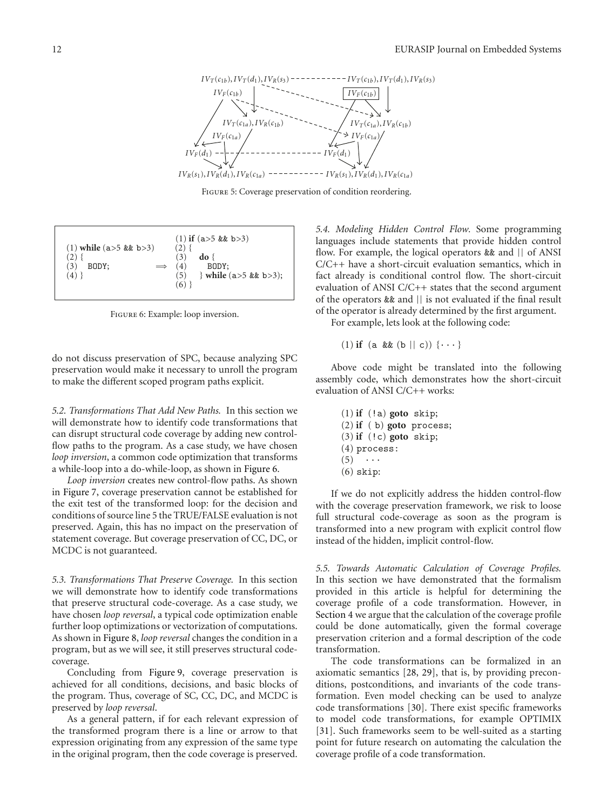

Figure 5: Coverage preservation of condition reordering.



Figure 6: Example: loop inversion.

do not discuss preservation of SPC, because analyzing SPC preservation would make it necessary to unroll the program to make the different scoped program paths explicit.

*5.2. Transformations That Add New Paths.* In this section we will demonstrate how to identify code transformations that can disrupt structural code coverage by adding new controlflow paths to the program. As a case study, we have chosen *loop inversion*, a common code optimization that transforms a while-loop into a do-while-loop, as shown in Figure 6.

*Loop inversion* creates new control-flow paths. As shown in Figure 7, coverage preservation cannot be established for the exit test of the transformed loop: for the decision and conditions of source line 5 the TRUE/FALSE evaluation is not preserved. Again, this has no impact on the preservation of statement coverage. But coverage preservation of CC, DC, or MCDC is not guaranteed.

*5.3. Transformations That Preserve Coverage.* In this section we will demonstrate how to identify code transformations that preserve structural code-coverage. As a case study, we have chosen *loop reversal*, a typical code optimization enable further loop optimizations or vectorization of computations. As shown in Figure 8, *loop reversal* changes the condition in a program, but as we will see, it still preserves structural codecoverage.

Concluding from Figure 9, coverage preservation is achieved for all conditions, decisions, and basic blocks of the program. Thus, coverage of SC, CC, DC, and MCDC is preserved by *loop reversal*.

As a general pattern, if for each relevant expression of the transformed program there is a line or arrow to that expression originating from any expression of the same type in the original program, then the code coverage is preserved.

*5.4. Modeling Hidden Control Flow.* Some programming languages include statements that provide hidden control flow. For example, the logical operators && and || of ANSI C/C++ have a short-circuit evaluation semantics, which in fact already is conditional control flow. The short-circuit evaluation of ANSI C/C++ states that the second argument of the operators && and || is not evaluated if the final result of the operator is already determined by the first argument.

For example, lets look at the following code:

(1) **if** (a && (b  $||c|$ )  $\{\cdots\}$ 

Above code might be translated into the following assembly code, which demonstrates how the short-circuit evaluation of ANSI C/C++ works:

(1) **if** (!a) **goto** skip; (2) **if** ( b) **goto** process; (3) **if** (!c) **goto** skip; (4) process:  $(5) \cdot \cdot \cdot$ (6) skip:

If we do not explicitly address the hidden control-flow with the coverage preservation framework, we risk to loose full structural code-coverage as soon as the program is transformed into a new program with explicit control flow instead of the hidden, implicit control-flow.

*5.5. Towards Automatic Calculation of Coverage Profiles.* In this section we have demonstrated that the formalism provided in this article is helpful for determining the coverage profile of a code transformation. However, in Section 4 we argue that the calculation of the coverage profile could be done automatically, given the formal coverage preservation criterion and a formal description of the code transformation.

The code transformations can be formalized in an axiomatic semantics [28, 29], that is, by providing preconditions, postconditions, and invariants of the code transformation. Even model checking can be used to analyze code transformations [30]. There exist specific frameworks to model code transformations, for example OPTIMIX [31]. Such frameworks seem to be well-suited as a starting point for future research on automating the calculation the coverage profile of a code transformation.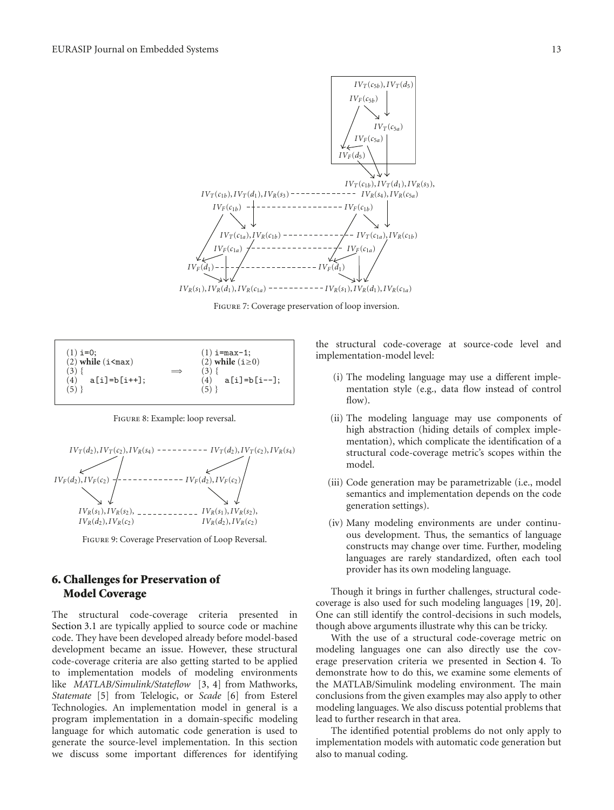

FIGURE 7: Coverage preservation of loop inversion.



Figure 8: Example: loop reversal.



Figure 9: Coverage Preservation of Loop Reversal.

# **6. Challenges for Preservation of Model Coverage**

The structural code-coverage criteria presented in Section 3.1 are typically applied to source code or machine code. They have been developed already before model-based development became an issue. However, these structural code-coverage criteria are also getting started to be applied to implementation models of modeling environments like *MATLAB/Simulink/Stateflow* [3, 4] from Mathworks, *Statemate* [5] from Telelogic, or *Scade* [6] from Esterel Technologies. An implementation model in general is a program implementation in a domain-specific modeling language for which automatic code generation is used to generate the source-level implementation. In this section we discuss some important differences for identifying

the structural code-coverage at source-code level and implementation-model level:

- (i) The modeling language may use a different implementation style (e.g., data flow instead of control flow).
- (ii) The modeling language may use components of high abstraction (hiding details of complex implementation), which complicate the identification of a structural code-coverage metric's scopes within the model.
- (iii) Code generation may be parametrizable (i.e., model semantics and implementation depends on the code generation settings).
- (iv) Many modeling environments are under continuous development. Thus, the semantics of language constructs may change over time. Further, modeling languages are rarely standardized, often each tool provider has its own modeling language.

Though it brings in further challenges, structural codecoverage is also used for such modeling languages [19, 20]. One can still identify the control-decisions in such models, though above arguments illustrate why this can be tricky.

With the use of a structural code-coverage metric on modeling languages one can also directly use the coverage preservation criteria we presented in Section 4. To demonstrate how to do this, we examine some elements of the MATLAB/Simulink modeling environment. The main conclusions from the given examples may also apply to other modeling languages. We also discuss potential problems that lead to further research in that area.

The identified potential problems do not only apply to implementation models with automatic code generation but also to manual coding.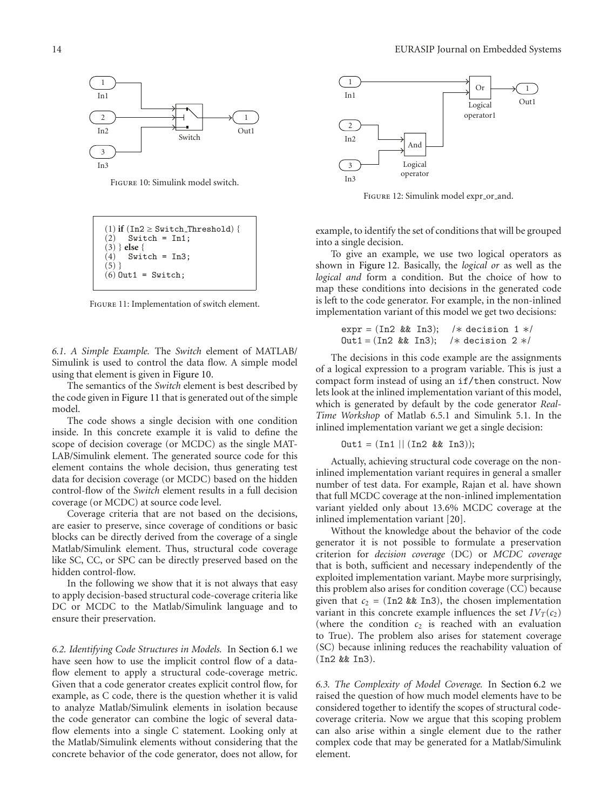

Figure 10: Simulink model switch.

```
(1) if (In2 \geq Switch\_Threshold) {<br>(2) Switch = In1:
       \text{Switch} = \text{In1};(3) } else {
       Switch = In3;(5) }
(6) Out1 = Switch;
```
Figure 11: Implementation of switch element.

*6.1. A Simple Example.* The *Switch* element of MATLAB/ Simulink is used to control the data flow. A simple model using that element is given in Figure 10.

The semantics of the *Switch* element is best described by the code given in Figure 11 that is generated out of the simple model.

The code shows a single decision with one condition inside. In this concrete example it is valid to define the scope of decision coverage (or MCDC) as the single MAT-LAB/Simulink element. The generated source code for this element contains the whole decision, thus generating test data for decision coverage (or MCDC) based on the hidden control-flow of the *Switch* element results in a full decision coverage (or MCDC) at source code level.

Coverage criteria that are not based on the decisions, are easier to preserve, since coverage of conditions or basic blocks can be directly derived from the coverage of a single Matlab/Simulink element. Thus, structural code coverage like SC, CC, or SPC can be directly preserved based on the hidden control-flow.

In the following we show that it is not always that easy to apply decision-based structural code-coverage criteria like DC or MCDC to the Matlab/Simulink language and to ensure their preservation.

*6.2. Identifying Code Structures in Models.* In Section 6.1 we have seen how to use the implicit control flow of a dataflow element to apply a structural code-coverage metric. Given that a code generator creates explicit control flow, for example, as C code, there is the question whether it is valid to analyze Matlab/Simulink elements in isolation because the code generator can combine the logic of several dataflow elements into a single C statement. Looking only at the Matlab/Simulink elements without considering that the concrete behavior of the code generator, does not allow, for



FIGURE 12: Simulink model expr\_or\_and.

example, to identify the set of conditions that will be grouped into a single decision.

To give an example, we use two logical operators as shown in Figure 12. Basically, the *logical or* as well as the *logical and* form a condition. But the choice of how to map these conditions into decisions in the generated code is left to the code generator. For example, in the non-inlined implementation variant of this model we get two decisions:

$$
expr = (In2 & & In3); \quad \text{/* decision 1 } */
$$
\n
$$
Out1 = (In2 & & In3); \quad \text{/* decision 2 } */
$$

The decisions in this code example are the assignments of a logical expression to a program variable. This is just a compact form instead of using an if/then construct. Now lets look at the inlined implementation variant of this model, which is generated by default by the code generator *Real-Time Workshop* of Matlab 6.5.1 and Simulink 5.1. In the inlined implementation variant we get a single decision:

 $Out1 = (In1 || (In2 \& In3));$ 

Actually, achieving structural code coverage on the noninlined implementation variant requires in general a smaller number of test data. For example, Rajan et al. have shown that full MCDC coverage at the non-inlined implementation variant yielded only about 13.6% MCDC coverage at the inlined implementation variant [20].

Without the knowledge about the behavior of the code generator it is not possible to formulate a preservation criterion for *decision coverage* (DC) or *MCDC coverage* that is both, sufficient and necessary independently of the exploited implementation variant. Maybe more surprisingly, this problem also arises for condition coverage (CC) because given that  $c_2 = (\text{In2} \& \text{In3})$ , the chosen implementation variant in this concrete example influences the set  $IV_T(c_2)$ (where the condition  $c_2$  is reached with an evaluation to True). The problem also arises for statement coverage (SC) because inlining reduces the reachability valuation of (In2 && In3).

*6.3. The Complexity of Model Coverage.* In Section 6.2 we raised the question of how much model elements have to be considered together to identify the scopes of structural codecoverage criteria. Now we argue that this scoping problem can also arise within a single element due to the rather complex code that may be generated for a Matlab/Simulink element.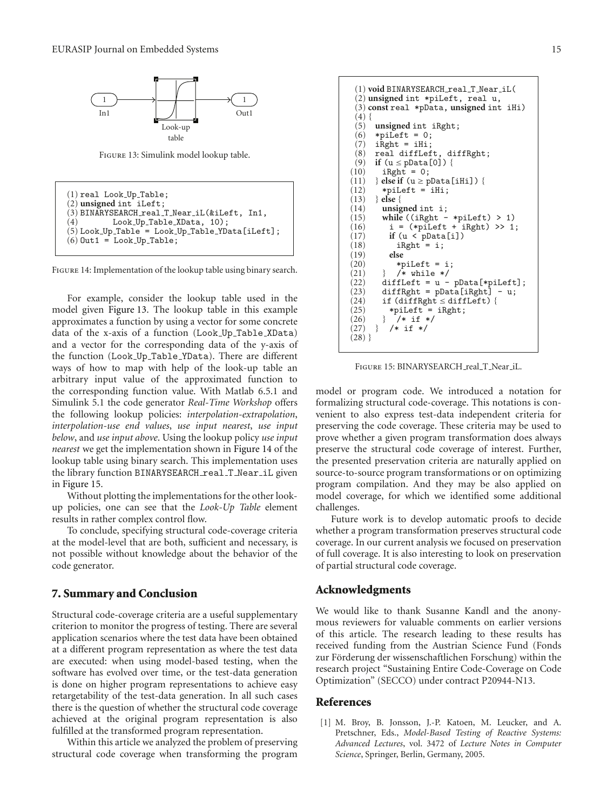

Figure 13: Simulink model lookup table.

```
(1) real Look Up Table;
(2) unsigned int iLeft;
(3) BINARYSEARCH real T Near iL(&iLeft, In1,
(4) Look Up Table XData, 10);
(5) Look Up Table = Look Up Table YData[iLeft];
(6) Out1 = Look Up Table;
```
FIGURE 14: Implementation of the lookup table using binary search.

For example, consider the lookup table used in the model given Figure 13. The lookup table in this example approximates a function by using a vector for some concrete data of the x-axis of a function (Look Up Table XData) and a vector for the corresponding data of the y-axis of the function (Look Up Table YData). There are different ways of how to map with help of the look-up table an arbitrary input value of the approximated function to the corresponding function value. With Matlab 6.5.1 and Simulink 5.1 the code generator *Real-Time Workshop* offers the following lookup policies: *interpolation-extrapolation*, *interpolation-use end values*, *use input nearest*, *use input below*, and *use input above*. Using the lookup policy *use input nearest* we get the implementation shown in Figure 14 of the lookup table using binary search. This implementation uses the library function BINARYSEARCH\_real\_T\_Near\_iL given in Figure 15.

Without plotting the implementations for the other lookup policies, one can see that the *Look-Up Table* element results in rather complex control flow.

To conclude, specifying structural code-coverage criteria at the model-level that are both, sufficient and necessary, is not possible without knowledge about the behavior of the code generator.

#### **7. Summary and Conclusion**

Structural code-coverage criteria are a useful supplementary criterion to monitor the progress of testing. There are several application scenarios where the test data have been obtained at a different program representation as where the test data are executed: when using model-based testing, when the software has evolved over time, or the test-data generation is done on higher program representations to achieve easy retargetability of the test-data generation. In all such cases there is the question of whether the structural code coverage achieved at the original program representation is also fulfilled at the transformed program representation.

Within this article we analyzed the problem of preserving structural code coverage when transforming the program

```
(1) void BINARYSEARCH real T Near iL(
 (2) unsigned int *piLeft, real u,
 (3) const real *pData, unsigned int iHi)
 (4) {<br>(5)
 (5) unsigned int iRght;
 (6) *piLeft = 0;<br>(7) iRght = iHi:
 (7) iRght = iHi;<br>(8) real diffLef
 (8) real diffleft, diffRght;<br>(9) if (u \leq n) ata[0] {
(9) if (u \leq pData[0]) {<br>(10) iRght = 0;
(10) iRght = 0;<br>(11) } else if (u \ge p)(11) } else if (u \geq pData[iHi]) {<br>(12) * piLeft = iHi;
(12) *piLeft = iHi;<br>(13) } else {
(13) } else {
(14) unsigned int i;
(15) while ((iRght - *piLeft) > 1)<br>(16) i = (*piLeft + iRght) >> 1
(16) i = (*p\text{left} + \text{iRght}) >> 1;<br>(17) if (u < p\text{Data}[i])(17) if (u < pData[i])<br>(18) iRght = i;
             iRght = i;<br>else
\frac{(19)}{(20)}(20) *piLeft = i;
(21) } /* while */<br>(22) diffLeft = u -
(22) diffLeft = u - pData[*pihet];<br>(23) diffRght = pData[iRght] - u;diffRght = pData[iRght] - u;(24) if (diffRght ≤ diffLeft) {
(25) *piLeft = iRght;<br>(26) } /* if */
(26) } /* if */<br>(27) } /* if */
             /* if * /(28) }
```
FIGURE 15: BINARYSEARCH\_real\_T\_Near\_iL.

model or program code. We introduced a notation for formalizing structural code-coverage. This notations is convenient to also express test-data independent criteria for preserving the code coverage. These criteria may be used to prove whether a given program transformation does always preserve the structural code coverage of interest. Further, the presented preservation criteria are naturally applied on source-to-source program transformations or on optimizing program compilation. And they may be also applied on model coverage, for which we identified some additional challenges.

Future work is to develop automatic proofs to decide whether a program transformation preserves structural code coverage. In our current analysis we focused on preservation of full coverage. It is also interesting to look on preservation of partial structural code coverage.

#### **Acknowledgments**

We would like to thank Susanne Kandl and the anonymous reviewers for valuable comments on earlier versions of this article. The research leading to these results has received funding from the Austrian Science Fund (Fonds zur Förderung der wissenschaftlichen Forschung) within the research project "Sustaining Entire Code-Coverage on Code Optimization" (SECCO) under contract P20944-N13.

#### **References**

[1] M. Broy, B. Jonsson, J.-P. Katoen, M. Leucker, and A. Pretschner, Eds., *Model-Based Testing of Reactive Systems: Advanced Lectures*, vol. 3472 of *Lecture Notes in Computer Science*, Springer, Berlin, Germany, 2005.